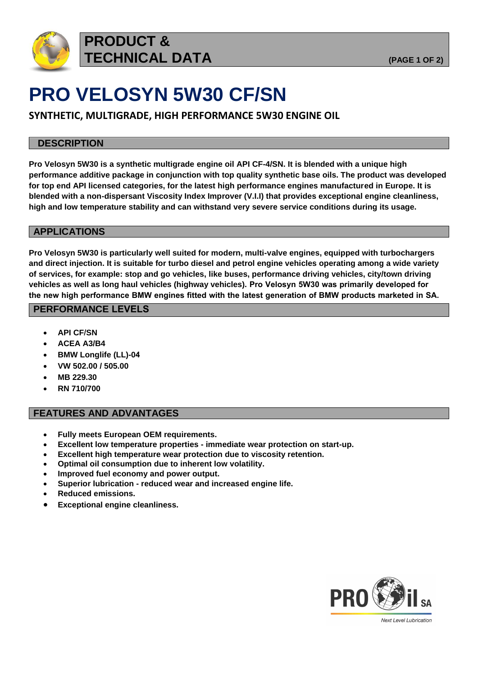

## **PRODUCT & TECHNICAL DATA (PAGE 1 OF 2)**

# **PRO VELOSYN 5W30 CF/SN**

**SYNTHETIC, MULTIGRADE, HIGH PERFORMANCE 5W30 ENGINE OIL** 

### **DESCRIPTION**

**Pro Velosyn 5W30 is a synthetic multigrade engine oil API CF-4/SN. It is blended with a unique high performance additive package in conjunction with top quality synthetic base oils. The product was developed for top end API licensed categories, for the latest high performance engines manufactured in Europe. It is blended with a non-dispersant Viscosity Index Improver (V.I.I) that provides exceptional engine cleanliness, high and low temperature stability and can withstand very severe service conditions during its usage.** 

### **APPLICATIONS**

**Pro Velosyn 5W30 is particularly well suited for modern, multi-valve engines, equipped with turbochargers and direct injection. It is suitable for turbo diesel and petrol engine vehicles operating among a wide variety of services, for example: stop and go vehicles, like buses, performance driving vehicles, city/town driving vehicles as well as long haul vehicles (highway vehicles). Pro Velosyn 5W30 was primarily developed for the new high performance BMW engines fitted with the latest generation of BMW products marketed in SA.**

### **PERFORMANCE LEVELS**

- **API CF/SN**
- **ACEA A3/B4**
- **BMW Longlife (LL)-04**
- **VW 502.00 / 505.00**
- **MB 229.30**
- **RN 710/700**

### **FEATURES AND ADVANTAGES**

- **Fully meets European OEM requirements.**
- **Excellent low temperature properties - immediate wear protection on start-up.**
- **Excellent high temperature wear protection due to viscosity retention.**
- **Optimal oil consumption due to inherent low volatility.**
- **Improved fuel economy and power output.**
- **Superior lubrication - reduced wear and increased engine life.**
- **Reduced emissions.**
- **Exceptional engine cleanliness.**